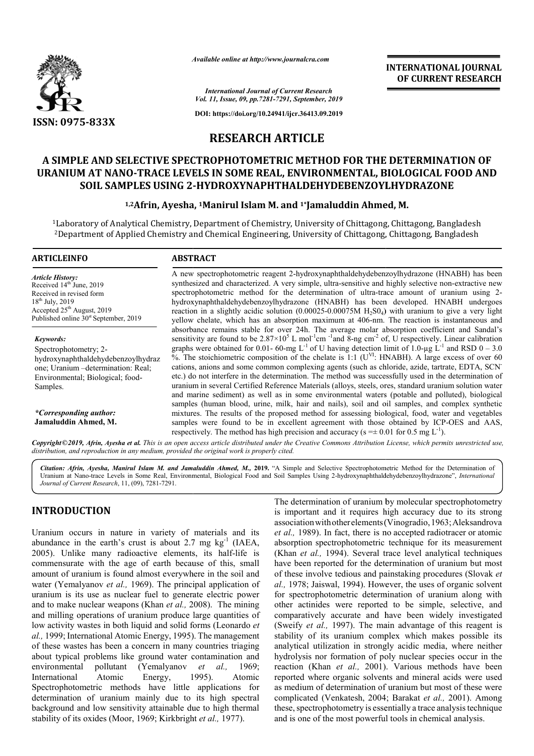

*Available online at http://www.journalcra.com*

**INTERNATIONAL JOURNAL OF CURRENT RESEARCH**

*International Journal of Current Research Vol. 11, Issue, 09, pp.7281-7291, September, 2019*

**DOI: https://doi.org/10.24941/ijcr.36413.09.2019**

# **RESEARCH ARTICLE**

# **A SIMPLE AND SELECTIVE SPECTROPHOTOMETRIC METHOD FOR THE DETERMINATION OF URANIUM AT NANO-TRACE LEVELS IN SOME REAL, ENVIRONMENTAL, BIOLOGICAL FOOD SPECTROPHOTOMETRIC METHOD FOR AND M AT NANO-TRACE LEVELS IN SOME REAL, ENVIRONMENTAL, BIOLOGICAL F(<br>SOIL SAMPLES USING 2-HYDROXYNAPHTHALDEHYDEBENZOYLHYDRAZONE** HYDROXYNAPHTHALDEHYDEBENZOYLHYDRAZONE<br><sup>1</sup>Manirul Islam M. and <sup>1\*</sup>Jamaluddin Ahmed, M.

## **1,2Afrin, Ayesha, Afrin, 1Manirul Islam M. and 1\*Jamaluddin Ahmed, M.**

<sup>1</sup>Laboratory of Analytical Chemistry, Department of Chemistry, University of Chittagong, Chittagong, Bangladesh  $^{\rm 2}$ Department of Applied Chemistry and Chemical Engineering, University of Chittagong, Chittagong, Bangladesh

#### **ARTICLEINFO ABSTRACT**

*Article History:* Received  $14<sup>th</sup>$  June, 2019 Received in revised form  $18^{th}$  July,  $2019$ Accepted 25<sup>th</sup> August, 2019 Published online  $30<sup>st</sup>$  September, 2019

*Keywords:* Spectrophotometry; 2 hydroxynaphthaldehydebenzoylhydraz one; Uranium –determination: Real; Environmental; Biological; food-Samples.

*\*Corresponding author:*  **Jamaluddin Ahmed, M.**

A new spectrophotometric reagent 2-hydroxynaphthaldehydebenzoylhydrazone (HNABH) has been synthesized and characterized. A very simple, ultra-sensitive and highly selective non-extractive new spectrophotometric method for the determination of ultra-trace amount of uranium using 2hydroxynaphthaldehydebenzoylhydrazone (HNABH) has been developed. HNABH undergoes reaction in a slightly acidic solution  $(0.00025-0.00075M \text{ H}_2\text{S0}_4)$  with uranium to give a very light yellow chelate, which has an absorption maximum at 406-nm. The reaction is instantaneous and absorbance remains stable for over 24h. The average molar absorption coefficient and Sandal's hydroxynaphthaldehydebenzoylhydrazone (HNABH) has been developed. HNABH undergoes<br>reaction in a slightly acidic solution (0.00025-0.00075M H<sub>2</sub>S0<sub>4</sub>) with uranium to give a very light<br>yellow chelate, which has an absorpti graphs were obtained for 0.01- 60-mg L<sup>-1</sup> of U having detection limit of 1.0-µg L<sup>-1</sup> and RSD 0 – 3.0  $\%$ . The stoichiometric composition of the chelate is 1:1 (U<sup>VI</sup>: HNABH). A large excess of over 60 %. The stoichiometric composition of the chelate is 1:1 ( $U^{V1}$ : HNABH). A large excess of over 60 cations, anions and some common complexing agents (such as chloride, azide, tartrate, EDTA, SCN etc.) do not interfere in the determination. The method was successfully used in the determination of etc.) do not interfere in the determination. The method was successfully used in the determination of uranium in several Certified Reference Materials (alloys, steels, ores, standard uranium solution water and marine sediment) as well as in some environmental waters (potable and polluted), biological samples (human blood, urine, milk, hair and nails), soil and oil samples, and complex synthetic mixtures. The results of the proposed method for assessing biological, food, water and vegetables samples were found to be in excellent agreement with those obtained by ICP-OES and AAS, respectively. The method has high precision and accuracy ( $s = \pm 0.01$  for 0.5 mg L<sup>-1</sup>). and marine sediment) as well as in some environmental waters (potable and polluted), biological samples (human blood, urine, milk, hair and nails), soil and oil samples, and complex synthetic mixtures. The results of the p

Copyright©2019, Afrin, Ayesha et al. This is an open access article distributed under the Creative Commons Attribution License, which permits unrestricted use, *distribution, and reproduction in any medium, provided the original work is properly cited.*

Citation: Afrin, Ayesha, Manirul Islam M. and Jamaluddin Ahmed, M., 2019. "A Simple and Selective Spectrophotometric Method for the Determination of Citation: Afrin, Ayesha, Manirul Islam M. and Jamaluddin Ahmed, M., 2019. "A Simple and Selective Spectrophotometric Method for the Determination of<br>Uranium at Nano-trace Levels in Some Real, Environmental, Biological Food *Journal of Current Research*, 11, (09), 7281-7291.

# **INTRODUCTION**

Uranium occurs in nature in variety of materials and its abundance in the earth's crust is about 2.7 mg  $kg^{-1}$  (IAEA, 2005). Unlike many radioactive elements, its half-life is commensurate with the age of earth because of this, small amount of uranium is found almost everywhere in the soil and water (Yemalyanov *et al.*, 1969). The principal application of uranium is its use as nuclear fuel to generate electric power and to make nuclear weapons (Khan *et al.,* 2008). The mining and milling operations of uranium produce large quantities of low activity wastes in both liquid and solid forms (Leonardo *et al.,* 1999; International Atomic Energy, 1995). The management of these wastes has been a concern in many countries triaging about typical problems like ground water contamination and environmental pollutant (Yemalyanov International Atomic Energy, 1995). Spectrophotometric methods have little applications for determination of uranium mainly due to its high spectral background and low sensitivity attainable due to high thermal stability of its oxides (Moor, 1969; Kirkbright *et al.,* 1977). *et al.,* 1969; Atomic

The determination of uranium by molecular spectrophotometry is important and it requires high accuracy due to its strong The determination of uranium by molecular spectrophotometry<br>is important and it requires high accuracy due to its strong<br>association with other elements (Vinogradio, 1963; Aleksandrova et al., 1989). In fact, there is no accepted radiotracer or atomic absorption spectrophotometric technique for its measurement (Khan *et al.,* 1994). Several trace level analytical techniques have been reported for the determination of uranium but most have been reported for the determination of uranium but most of these involve tedious and painstaking procedures (Slovak *et al.,* 1978; Jaiswal, 1994). However, the uses of organic solvent for spectrophotometric determination of uranium along with other actinides were reported to be simple, selective, and comparatively accurate and have been widely investigated (Sweify *et al.,* 1997). The main advantage of this reagent is stability of its uranium complex which makes possible its analytical utilization in strongly acidic media, where neither hydrolysis nor formation of poly nuclear species occur in the reaction (Khan *et al.*, 2001). Various methods have been reported where organic solvents and mineral acids were used reported where organic solvents and mineral acids were used<br>as medium of determination of uranium but most of these were complicated (Venkatesh, 2004; Barakat *et al.,* 2001). Among these, spectrophotometry is essentially a trace analysis technique and is one of the most powerful tools in chemical analysis. 78; Jaiswal, 1994). However, the uses of organic solvent ectrophotometric determination of uranium along with actinides were reported to be simple, selective, and ratively accurate and have been widely investigated by *et*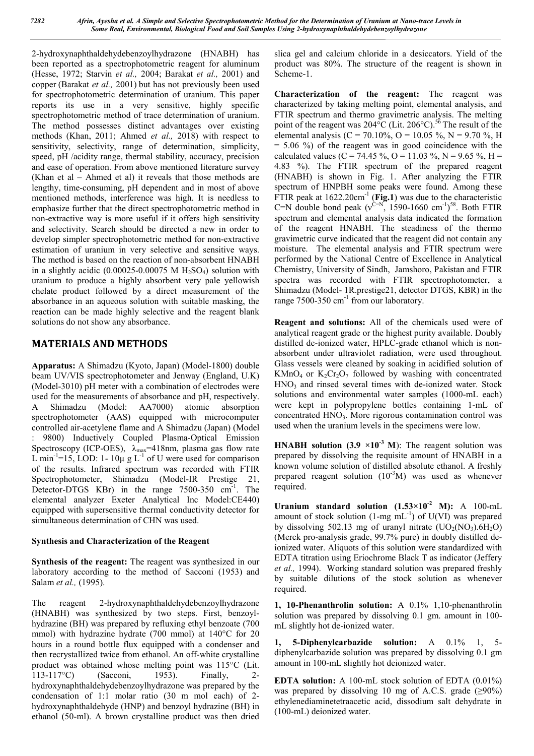2-hydroxynaphthaldehydebenzoylhydrazone (HNABH) has been reported as a spectrophotometric reagent for aluminum (Hesse, 1972; Starvin *et al.,* 2004; Barakat *et al.,* 2001) and copper (Barakat *et al.,* 2001) but has not previously been used for spectrophotometric determination of uranium. This paper reports its use in a very sensitive, highly specific spectrophotometric method of trace determination of uranium. The method possesses distinct advantages over existing methods (Khan, 2011; Ahmed *et al.,* 2018) with respect to sensitivity, selectivity, range of determination, simplicity, speed, pH /acidity range, thermal stability, accuracy, precision and ease of operation. From above mentioned literature survey (Khan et al – Ahmed et al) it reveals that those methods are lengthy, time-consuming, pH dependent and in most of above mentioned methods, interference was high. It is needless to emphasize further that the direct spectrophotometric method in non-extractive way is more useful if it offers high sensitivity and selectivity. Search should be directed a new in order to develop simpler spectrophotometric method for non-extractive estimation of uranium in very selective and sensitive ways. The method is based on the reaction of non-absorbent HNABH in a slightly acidic  $(0.00025-0.00075 \text{ M H}_2\text{SO}_4)$  solution with uranium to produce a highly absorbent very pale yellowish chelate product followed by a direct measurement of the absorbance in an aqueous solution with suitable masking, the reaction can be made highly selective and the reagent blank solutions do not show any absorbance.

# **MATERIALS AND METHODS**

**Apparatus:** A Shimadzu (Kyoto, Japan) (Model-1800) double beam UV/VIS spectrophotometer and Jenway (England, U.K) (Model-3010) pH meter with a combination of electrodes were used for the measurements of absorbance and pH, respectively. A Shimadzu (Model: AA7000) atomic absorption spectrophotometer (AAS) equipped with microcomputer controlled air-acetylene flame and A Shimadzu (Japan) (Model : 9800) Inductively Coupled Plasma-Optical Emission Spectroscopy (ICP-OES),  $\lambda_{\text{max}}$ =418nm, plasma gas flow rate L min<sup>-1</sup>=15, LOD: 1-10 $\mu$  g L<sup>-1</sup> of U were used for comparison of the results. Infrared spectrum was recorded with FTIR Spectrophotometer, Shimadzu (Model-IR Prestige 21, Detector-DTGS KBr) in the range 7500-350 cm<sup>-1</sup>. The elemental analyzer Exeter Analytical Inc Model:CE440) equipped with supersensitive thermal conductivity detector for simultaneous determination of CHN was used.

# **Synthesis and Characterization of the Reagent**

**Synthesis of the reagent:** The reagent was synthesized in our laboratory according to the method of Sacconi (1953) and Salam *et al.,* (1995).

The reagent 2-hydroxynaphthaldehydebenzoylhydrazone (HNABH) was synthesized by two steps. First, benzoylhydrazine (BH) was prepared by refluxing ethyl benzoate (700 mmol) with hydrazine hydrate (700 mmol) at 140°C for 20 hours in a round bottle flux equipped with a condenser and then recrystallized twice from ethanol. An off-white crystalline product was obtained whose melting point was 115°C (Lit. 113-117°C) (Sacconi, 1953). Finally, 2 hydroxynaphthaldehydebenzoylhydrazone was prepared by the condensation of 1:1 molar ratio (30 m mol each) of 2 hydroxynaphthaldehyde (HNP) and benzoyl hydrazine (BH) in ethanol (50-ml). A brown crystalline product was then dried

slica gel and calcium chloride in a desiccators. Yield of the product was 80%. The structure of the reagent is shown in Scheme-1.

**Characterization of the reagent:** The reagent was characterized by taking melting point, elemental analysis, and FTIR spectrum and thermo gravimetric analysis. The melting point of the reagent was  $204\degree C$  (Lit.  $206\degree C$ ).<sup>56</sup> The result of the elemental analysis (C = 70.10%, O = 10.05 %, N = 9.70 %, H  $= 5.06$  %) of the reagent was in good coincidence with the calculated values (C = 74.45 %, O = 11.03 %, N = 9.65 %, H = 4.83 %). The FTIR spectrum of the prepared reagent (HNABH) is shown in Fig. 1. After analyzing the FTIR spectrum of HNPBH some peaks were found. Among these FTIR peak at  $1622.20 \text{cm}^{-1}$  (Fig.1) was due to the characteristic C=N double bond peak ( $v^{C=N}$ , 1590-1660 cm<sup>-1</sup>)<sup>58</sup>. Both FTIR spectrum and elemental analysis data indicated the formation of the reagent HNABH. The steadiness of the thermo gravimetric curve indicated that the reagent did not contain any moisture. The elemental analysis and FTIR spectrum were performed by the National Centre of Excellence in Analytical Chemistry, University of Sindh, Jamshoro, Pakistan and FTIR spectra was recorded with FTIR spectrophotometer, a Shimadzu (Model- 1R.prestige21, detector DTGS, KBR) in the range 7500-350  $\text{cm}^{-1}$  from our laboratory.

**Reagent and solutions:** All of the chemicals used were of analytical reagent grade or the highest purity available. Doubly distilled de-ionized water, HPLC-grade ethanol which is nonabsorbent under ultraviolet radiation, were used throughout. Glass vessels were cleaned by soaking in acidified solution of KMnO<sub>4</sub> or  $K_2Cr_2O_7$  followed by washing with concentrated  $HNO<sub>3</sub>$  and rinsed several times with de-ionized water. Stock solutions and environmental water samples (1000-mL each) were kept in polypropylene bottles containing 1-mL of concentrated  $HNO<sub>3</sub>$ . More rigorous contamination control was used when the uranium levels in the specimens were low.

**HNABH** solution  $(3.9 \times 10^{-3} \text{ M})$ : The reagent solution was prepared by dissolving the requisite amount of HNABH in a known volume solution of distilled absolute ethanol. A freshly prepared reagent solution  $(10^{-3}M)$  was used as whenever required.

**Uranium standard solution**  $(1.53 \times 10^2 \text{ M})$ **: A 100-mL** amount of stock solution  $(1-mg)$  mL<sup>-1</sup>) of U(VI) was prepared by dissolving 502.13 mg of uranyl nitrate  $(UO<sub>2</sub>(NO<sub>3</sub>), 6H<sub>2</sub>O)$ (Merck pro-analysis grade, 99.7% pure) in doubly distilled deionized water. Aliquots of this solution were standardized with EDTA titration using Eriochrome Black T as indicator (Jeffery *et al.,* 1994). Working standard solution was prepared freshly by suitable dilutions of the stock solution as whenever required.

**1, 10-Phenanthrolin solution:** A 0.1% 1,10-phenanthrolin solution was prepared by dissolving 0.1 gm. amount in 100 mL slightly hot de-ionized water.

**1, 5-Diphenylcarbazide solution:** A 0.1% 1, 5 diphenylcarbazide solution was prepared by dissolving 0.1 gm amount in 100-mL slightly hot deionized water.

**EDTA solution:** A 100-mL stock solution of EDTA (0.01%) was prepared by dissolving 10 mg of A.C.S. grade  $(\geq 90\%)$ ethylenediaminetetraacetic acid, dissodium salt dehydrate in (100-mL) deionized water.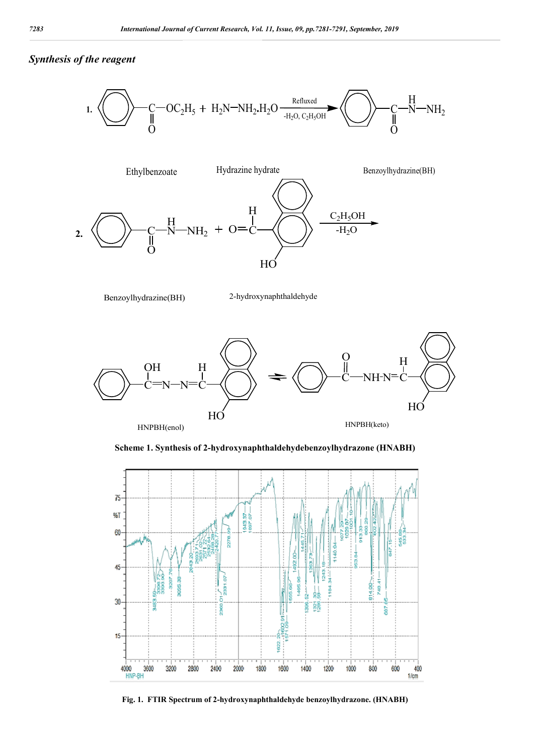# *Synthesis of the reagent*





Benzoylhydrazine(BH) 2-hydroxynaphthaldehyde



**Scheme 1. Synthesis of 2-hydroxynaphthaldehydebenzoylhydrazone (HNABH)**



**Fig. 1. FTIR Spectrum of 2-hydroxynaphthaldehyde benzoylhydrazone. (HNABH)**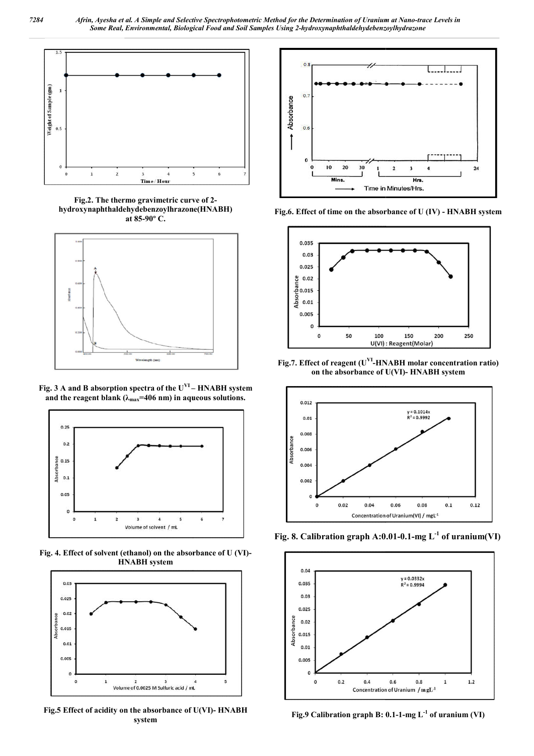

**Fig.2. The thermo gravimetric curve of 2 hydroxynaphthaldehydebenzoylhrazone(HNABH) at 85-90º C.**



**Fig. 3 A and B absorption spectra of the UVI – and the reagent blank (λmax=406 nm) in aqueous solutions. HNABH system** 



**Fig. 4. Effect of solvent (ethanol) on the absorbance of U (VI) HNABH system**



Fig.5 Effect of acidity on the absorbance of U(VI)- HNABH **system**



**Fig.6. Effect of time on the absorbance of U (IV) - HNABH system**



**Fig.7. Effect of reagent (U<sup>VI</sup>-HNABH molar concentration ratio)** on the absorbance of U(VI)- HNABH system **on the absorbance of U(VI)**



**Fig. 8. Calibration graph A:0.01 A:0.01-0.1-mg L-1 of uranium(VI)**



**Fig.9 Calibration graph B: 0.1 0.1-1-mg L-1 of uranium (VI)**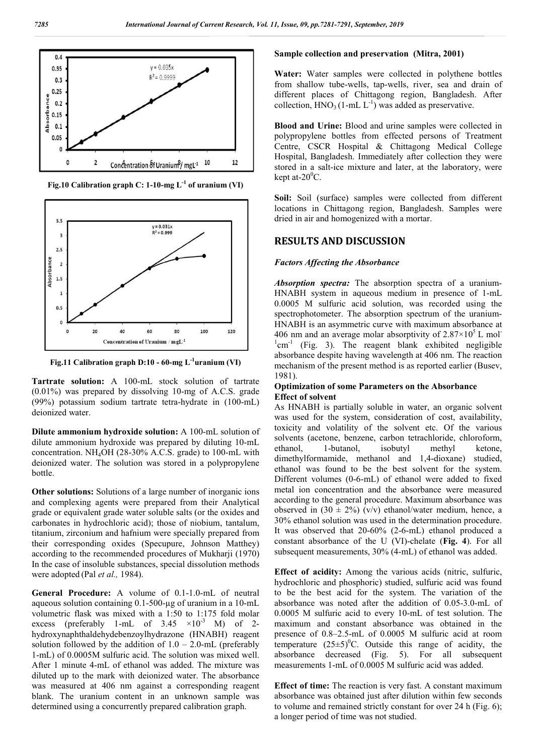

**Fig.10 Calibration graph C: 1-10-mg L-1 of uranium (VI)**



**Fig.11 Calibration graph D:10 - 60-mg L-1 uranium (VI)**

**Tartrate solution:** A 100-mL stock solution of tartrate (0.01%) was prepared by dissolving 10-mg of A.C.S. grade (99%) potassium sodium tartrate tetra-hydrate in (100-mL) deionized water.

**Dilute ammonium hydroxide solution:** A 100-mL solution of dilute ammonium hydroxide was prepared by diluting 10-mL concentration. NH4OH (28-30% A.C.S. grade) to 100-mL with deionized water. The solution was stored in a polypropylene bottle.

**Other solutions:** Solutions of a large number of inorganic ions and complexing agents were prepared from their Analytical grade or equivalent grade water soluble salts (or the oxides and carbonates in hydrochloric acid); those of niobium, tantalum, titanium, zirconium and hafnium were specially prepared from their corresponding oxides (Specupure, Johnson Matthey) according to the recommended procedures of Mukharji (1970) In the case of insoluble substances, special dissolution methods were adopted (Pal *et al.,* 1984).

**General Procedure:** A volume of 0.1-1.0-mL of neutral aqueous solution containing 0.1-500-µg of uranium in a 10-mL volumetric flask was mixed with a 1:50 to 1:175 fold molar excess (preferably 1-mL of  $3.45 \times 10^{-3}$  M) of 2hydroxynaphthaldehydebenzoylhydrazone (HNABH) reagent solution followed by the addition of  $1.0 - 2.0$ -mL (preferably 1-mL) of 0.0005M sulfuric acid. The solution was mixed well. After 1 minute 4-mL of ethanol was added. The mixture was diluted up to the mark with deionized water. The absorbance was measured at 406 nm against a corresponding reagent blank. The uranium content in an unknown sample was determined using a concurrently prepared calibration graph.

# **Sample collection and preservation (Mitra, 2001)**

**Water:** Water samples were collected in polythene bottles from shallow tube-wells, tap-wells, river, sea and drain of different places of Chittagong region, Bangladesh. After collection,  $HNO<sub>3</sub> (1-mL L<sup>-1</sup>)$  was added as preservative.

**Blood and Urine:** Blood and urine samples were collected in polypropylene bottles from effected persons of Treatment Centre, CSCR Hospital & Chittagong Medical College Hospital, Bangladesh. Immediately after collection they were stored in a salt-ice mixture and later, at the laboratory, were kept at- $20^0$ C.

**Soil:** Soil (surface) samples were collected from different locations in Chittagong region, Bangladesh. Samples were dried in air and homogenized with a mortar.

## **RESULTS AND DISCUSSION**

#### *Factors Affecting the Absorbance*

*Absorption spectra:* The absorption spectra of a uranium-HNABH system in aqueous medium in presence of 1-mL 0.0005 M sulfuric acid solution, was recorded using the spectrophotometer. The absorption spectrum of the uranium-HNABH is an asymmetric curve with maximum absorbance at 406 nm and an average molar absorptivity of  $2.87 \times 10^5$  L mol- $1$ cm<sup>-1</sup> (Fig. 3). The reagent blank exhibited negligible absorbance despite having wavelength at 406 nm. The reaction mechanism of the present method is as reported earlier (Busev, 1981).

#### **Optimization of some Parameters on the Absorbance Effect of solvent**

As HNABH is partially soluble in water, an organic solvent was used for the system, consideration of cost, availability, toxicity and volatility of the solvent etc. Of the various solvents (acetone, benzene, carbon tetrachloride, chloroform, ethanol, 1-butanol, isobutyl methyl ketone, dimethylformamide, methanol and 1,4-dioxane) studied, ethanol was found to be the best solvent for the system. Different volumes (0-6-mL) of ethanol were added to fixed metal ion concentration and the absorbance were measured according to the general procedure. Maximum absorbance was observed in  $(30 \pm 2\%)$  (v/v) ethanol/water medium, hence, a 30% ethanol solution was used in the determination procedure. It was observed that 20-60% (2-6-mL) ethanol produced a constant absorbance of the U (VI)-chelate (**Fig. 4**). For all subsequent measurements, 30% (4-mL) of ethanol was added.

**Effect of acidity:** Among the various acids (nitric, sulfuric, hydrochloric and phosphoric) studied, sulfuric acid was found to be the best acid for the system. The variation of the absorbance was noted after the addition of 0.05-3.0-mL of 0.0005 M sulfuric acid to every 10-mL of test solution. The maximum and constant absorbance was obtained in the presence of 0.8–2.5-mL of 0.0005 M sulfuric acid at room temperature  $(25\pm5)^{0}$ C. Outside this range of acidity, the absorbance decreased (Fig. 5). For all subsequent measurements 1-mL of 0.0005 M sulfuric acid was added.

**Effect of time:** The reaction is very fast. A constant maximum absorbance was obtained just after dilution within few seconds to volume and remained strictly constant for over 24 h (Fig. 6); a longer period of time was not studied.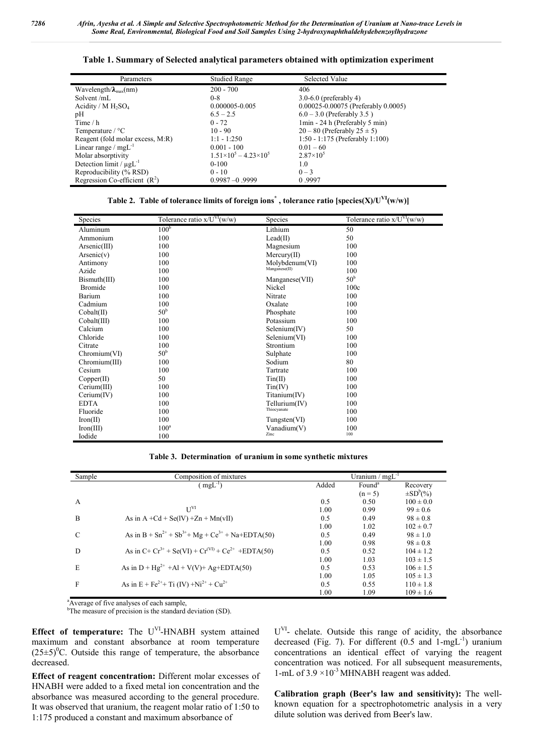|  | Table 1. Summary of Selected analytical parameters obtained with optimization experiment |  |  |
|--|------------------------------------------------------------------------------------------|--|--|
|  |                                                                                          |  |  |

| Parameters                              | <b>Studied Range</b>                  | Selected Value                             |
|-----------------------------------------|---------------------------------------|--------------------------------------------|
| Wavelength/ $\lambda_{\text{max}}$ (nm) | $200 - 700$                           | 406                                        |
| Solvent/mL                              | $0 - 8$                               | $3.0 - 6.0$ (preferably 4)                 |
| Acidity / $M H_2SO_4$                   | 0.000005-0.005                        | $0.00025 - 0.00075$ (Preferably $0.0005$ ) |
| pH                                      | $6.5 - 2.5$                           | $6.0 - 3.0$ (Preferably 3.5)               |
| Time $/ h$                              | $0 - 72$                              | 1min - 24 h (Preferably 5 min)             |
| Temperature $\degree$ C                 | $10 - 90$                             | $20-80$ (Preferably $25 \pm 5$ )           |
| Reagent (fold molar excess, M:R)        | $1:1 - 1:250$                         | 1:50 - 1:175 (Preferably 1:100)            |
| Linear range / $mgL^{-1}$               | $0.001 - 100$                         | $0.01 - 60$                                |
| Molar absorptivity                      | $1.51\times10^{5} - 4.23\times10^{5}$ | $2.87\times10^{5}$                         |
| Detection limit / $\mu g L^{-1}$        | $0-100$                               | 1.0                                        |
| Reproducibility (% RSD)                 | $0 - 10$                              | $0 - 3$                                    |
| Regression Co-efficient $(R2)$          | $0.9987 - 0.9999$                     | 0.9997                                     |

| Table 2. Table of tolerance limits of foreign ions <sup>*</sup> , tolerance ratio [species(X)/U <sup>VI</sup> (w/w)] |  |  |
|----------------------------------------------------------------------------------------------------------------------|--|--|
|                                                                                                                      |  |  |

| <b>Species</b>       | Tolerance ratio $x/U^{VI}(w/w)$ | Species                 | Tolerance ratio $x/U^{VI}(w/w)$ |
|----------------------|---------------------------------|-------------------------|---------------------------------|
| Aluminum             | 100 <sup>b</sup>                | Lithium                 | 50                              |
| Ammonium             | 100                             | Lead(II)                | 50                              |
| Arsenic(III)         | 100                             | Magnesium               | 100                             |
| Arsenic(v)           | 100                             | Mercurv(II)             | 100                             |
| Antimony             | 100                             | Molybdenum(VI)          | 100                             |
| Azide                | 100                             | Manganese(II)           | 100                             |
| Bismuth(III)         | 100                             | Manganese(VII)          | 50 <sup>b</sup>                 |
| <b>Bromide</b>       | 100                             | Nickel                  | 100c                            |
| Barium               | 100                             | Nitrate                 | 100                             |
| Cadmium              | 100                             | Oxalate                 | 100                             |
| Cobalt(II)           | $50^{\rm b}$                    | Phosphate               | 100                             |
| $\text{Cobalt(III)}$ | 100                             | Potassium               | 100                             |
| Calcium              | 100                             | Selenium(IV)            | 50                              |
| Chloride             | 100                             | Selenium(VI)            | 100                             |
| Citrate              | 100                             | Strontium               | 100                             |
| Chromium(VI)         | 50 <sup>b</sup>                 | Sulphate                | 100                             |
| Chromium(III)        | 100                             | Sodium                  | 80                              |
| Cesium               | 100                             | Tartrate                | 100                             |
| Copper(II)           | 50                              | Tin(II)                 | 100                             |
| Cerium(III)          | 100                             | $\text{Tim}(\text{IV})$ | 100                             |
| Cerium(IV)           | 100                             | $T$ itanium $(IV)$      | 100                             |
| <b>EDTA</b>          | 100                             | Tellurium(IV)           | 100                             |
| Fluoride             | 100                             | Thiocyanate             | 100                             |
| Iron(II)             | 100                             | Tungsten(VI)            | 100                             |
| Iron(III)            | $100^a$                         | Vanadium(V)             | 100                             |
| Iodide               | 100                             | Zinc                    | 100                             |

**Table 3. Determination of uranium in some synthetic mixtures**

| Sample | Composition of mixtures                                                                      |       | Uranium / $mgL^{-1}$ |                 |
|--------|----------------------------------------------------------------------------------------------|-------|----------------------|-----------------|
|        | $(mgL^{-1})$                                                                                 | Added | Found <sup>a</sup>   | Recovery        |
|        |                                                                                              |       | $(n = 5)$            | $\pm SD^b(\% )$ |
| A      |                                                                                              | 0.5   | 0.50                 | $100 \pm 0.0$   |
|        | $U^{VI}$                                                                                     | 1.00  | 0.99                 | $99 \pm 0.6$    |
| B      | As in $A + Cd + Se(IV) + Zn + Mn(vII)$                                                       | 0.5   | 0.49                 | $98 \pm 0.8$    |
|        |                                                                                              | 1.00  | 1.02                 | $102 \pm 0.7$   |
| C      | As in B + $\text{Sn}^{2+}$ + $\text{Sb}^{3+}$ + $\text{Mg}$ + $\text{Ce}^{3+}$ + Na+EDTA(50) | 0.5   | 0.49                 | $98 \pm 1.0$    |
|        |                                                                                              | 1.00  | 0.98                 | $98 \pm 0.8$    |
| D      | As in $C+Cr^{3+} +$ Se(VI) + $Cr^{(VI)} + Ce^{2+} + EDTA(50)$                                | 0.5   | 0.52                 | $104 \pm 1.2$   |
|        |                                                                                              | 1.00  | 1.03                 | $103 \pm 1.5$   |
| E      | As in $D + Hg^{2+} + Al + V(V) + Ag + EDTA(50)$                                              | 0.5   | 0.53                 | $106 \pm 1.5$   |
|        |                                                                                              | 1.00  | 1.05                 | $105 \pm 1.3$   |
| F      | As in E + Fe <sup>2+</sup> + Ti (IV) +Ni <sup>2+</sup> + Cu <sup>2+</sup>                    | 0.5   | 0.55                 | $110 \pm 1.8$   |
|        |                                                                                              | 1.00  | 1.09                 | $109 \pm 1.6$   |

<sup>a</sup> Average of five analyses of each sample,

<sup>b</sup>The measure of precision is the standard deviation (SD).

**Effect of temperature:** The U<sup>VI</sup>-HNABH system attained maximum and constant absorbance at room temperature  $(25\pm5)$ <sup>0</sup>C. Outside this range of temperature, the absorbance decreased.

**Effect of reagent concentration:** Different molar excesses of HNABH were added to a fixed metal ion concentration and the absorbance was measured according to the general procedure. It was observed that uranium, the reagent molar ratio of 1:50 to 1:175 produced a constant and maximum absorbance of

U<sup>VI</sup>- chelate. Outside this range of acidity, the absorbance decreased (Fig. 7). For different  $(0.5 \text{ and } 1 \text{--} \text{mgL}^{-1})$  uranium concentrations an identical effect of varying the reagent concentration was noticed. For all subsequent measurements, 1-mL of  $3.9 \times 10^{-3}$  MHNABH reagent was added.

**Calibration graph (Beer's law and sensitivity):** The wellknown equation for a spectrophotometric analysis in a very dilute solution was derived from Beer's law.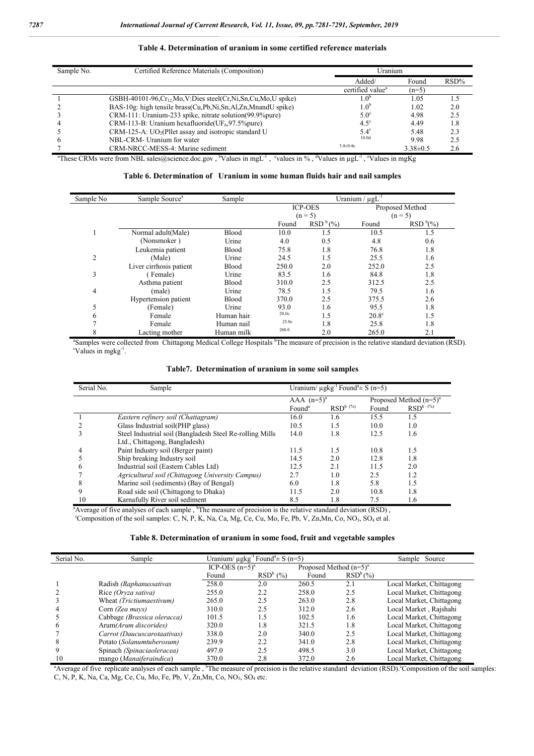| Sample No. | Certified Reference Materials (Composition)                       | Uranium                      |                |         |
|------------|-------------------------------------------------------------------|------------------------------|----------------|---------|
|            |                                                                   | Added/<br>Found              |                | $RSD\%$ |
|            |                                                                   | certified value <sup>a</sup> | $(n=5)$        |         |
|            | GSBH-40101-96, $Cr_{12}Mo$ , V:Dies steel(Cr,Ni,Sn,Cu,Mo,U spike) |                              | 1.05           | 1.5     |
|            | BAS-10g: high tensile brass(Cu,Pb,Ni,Sn,Al,Zn,MnandU spike)       | $1.0^{\circ}$                | 1.02           | 2.0     |
|            | CRM-111: Uranium-233 spike, nitrate solution(99.9%pure)           | $5.0^\circ$                  | 4.98           | 2.5     |
|            | CRM-113-B: Uranium hexafluoride( $UF_6$ , 97.5% pure)             | $4.5^\circ$                  | 4.49           | 1.8     |
|            | $CRM-125-A$ : $UO2(P1let assay and isotropic standard U)$         | $5.4^\circ$                  | 5.48           | 2.3     |
| 6          | NBL-CRM- Uranium for water                                        | 10.0 <sub>d</sub>            | 9.98           | 2.5     |
|            | CRM-NRCC-MESS-4: Marine sediment                                  | $3.4 \pm 0.4e$               | $3.38 \pm 0.5$ | 2.6     |

#### **Table 4. Determination of uranium in some certified reference materials**

| Table 6. Determination of Uranium in some human fluids hair and nail samples |  |  |
|------------------------------------------------------------------------------|--|--|
|------------------------------------------------------------------------------|--|--|

| Sample No | Sample Source <sup>a</sup> | Sample       |       |                      | Uranium / $\mu gL^{-1}$ |                 |
|-----------|----------------------------|--------------|-------|----------------------|-------------------------|-----------------|
|           |                            |              |       | <b>ICP-OES</b>       |                         | Proposed Method |
|           |                            |              |       | $(n = 5)$            |                         | $(n = 5)$       |
|           |                            |              | Found | RSD <sup>b</sup> (%) | Found                   | $RSDb(\%)$      |
|           | Normal adult(Male)         | <b>Blood</b> | 10.0  | 1.5                  | 10.5                    | 1.5             |
|           | (Nonsmoker)                | Urine        | 4.0   | 0.5                  | 4.8                     | 0.6             |
|           | Leukemia patient           | <b>Blood</b> | 75.8  | 1.8                  | 76.8                    | 1.8             |
| 2         | (Male)                     | Urine        | 24.5  | 1.5                  | 25.5                    | 1.6             |
|           | Liver cirrhosis patient    | <b>Blood</b> | 250.0 | 2.0                  | 252.0                   | 2.5             |
| 3         | Female)                    | Urine        | 83.5  | 1.6                  | 84.8                    | 1.8             |
|           | Asthma patient             | <b>Blood</b> | 310.0 | 2.5                  | 312.5                   | 2.5             |
| 4         | (male)                     | Urine        | 78.5  | 1.5                  | 79.5                    | 1.6             |
|           | Hypertension patient       | <b>Blood</b> | 370.0 | 2.5                  | 375.5                   | 2.6             |
| 5         | (Female)                   | Urine        | 93.0  | 1.6                  | 95.5                    | 1.8             |
| 6         | Female                     | Human hair   | 20.0c | 1.5                  | $20.8^\circ$            | 1.5             |
|           | Female                     | Human nail   | 25.0c | 1.8                  | 25.8                    | 1.8             |
| 8         | Lacting mother             | Human milk   | 260.0 | 2.0                  | 265.0                   | 2.1             |

<sup>a</sup>Samples were collected from Chittagong Medical College Hospitals <sup>b</sup>The measure of precision is the relative standard deviation (RSD). Values in mgkg<sup>-1</sup>.

## **Table7. Determination of uranium in some soil samples**

| Serial No. | Sample                                                    | Uranium/ $\mu$ gkg <sup>-1</sup> Found <sup>a</sup> ± S (n=5) |               |       |                           |
|------------|-----------------------------------------------------------|---------------------------------------------------------------|---------------|-------|---------------------------|
|            |                                                           | AAA $(n=5)^a$                                                 |               |       | Proposed Method $(n=5)^a$ |
|            |                                                           | Found <sup>a</sup>                                            | $RSD^{b}$ (%) | Found | $RSD^{b}$ <sup>(%)</sup>  |
|            | Eastern refinery soil (Chattagram)                        | 16.0                                                          | 1.6           | 15.5  | 1.5                       |
|            | Glass Industrial soil(PHP glass)                          | 10.5                                                          | 1.5           | 10.0  | 1.0                       |
|            | Steel Industrial soil (Bangladesh Steel Re-rolling Mills) | 14.0                                                          | 1.8           | 12.5  | 1.6                       |
|            | Ltd., Chittagong, Bangladesh)                             |                                                               |               |       |                           |
|            | Paint Industry soil (Berger paint)                        | 11.5                                                          | 1.5           | 10.8  | 1.5                       |
|            | Ship breaking Industry soil                               | 14.5                                                          | 2.0           | 12.8  | 1.8                       |
|            | Industrial soil (Eastern Cables Ltd)                      | 12.5                                                          | 2.1           | 11.5  | 2.0                       |
|            | Agricultural soil (Chittagong University Campus)          | 2.7                                                           | 1.0           | 2.5   | 1.2                       |
| 8          | Marine soil (sediments) (Bay of Bengal)                   | 6.0                                                           | 1.8           | 5.8   | 1.5                       |
|            | Road side soil (Chittagong to Dhaka)                      | 11.5                                                          | 2.0           | 10.8  | 1.8                       |
| 10         | Karnafully River soil sediment                            | 8.5                                                           | 1.8           | 7.5   | 1.6                       |

<sup>a</sup> Average of five analyses of each sample,  $\overline{b}$  The measure of precision is the relative standard deviation (RSD), <sup>c</sup>Composition of the soil samples: C, N, P, K, Na, Ca, Mg, Ce, Cu, Mo, Fe, Pb, V, Zn,Mn, Co, NO<sub>3</sub>, SO<sub>4</sub> et al.

| Table 8. Determination of uranium in some food, fruit and vegetable samples |  |  |  |
|-----------------------------------------------------------------------------|--|--|--|
|                                                                             |  |  |  |

| Serial No.   | Sample                      |                     | Uranium/ $\mu$ gkg <sup>-1</sup> Found <sup>a</sup> ± S (n=5) |                           | Sample Source |                                                                                                                                                                                  |
|--------------|-----------------------------|---------------------|---------------------------------------------------------------|---------------------------|---------------|----------------------------------------------------------------------------------------------------------------------------------------------------------------------------------|
|              |                             | ICP-OES $(n=5)^{a}$ |                                                               | Proposed Method $(n=5)^a$ |               |                                                                                                                                                                                  |
|              |                             | Found               | RSD <sup>b</sup> (%)                                          | Found                     | $RSD^{b}(\%)$ |                                                                                                                                                                                  |
|              | Radish (Raphanussativas     | 258.0               | 2.0                                                           | 260.5                     | 2.1           | Local Market, Chittagong                                                                                                                                                         |
|              | Rice <i>(Oryza sativa)</i>  | 255.0               | 2.2                                                           | 258.0                     | 2.5           | Local Market, Chittagong                                                                                                                                                         |
|              | Wheat (Trictiumaestivum)    | 265.0               | 2.5                                                           | 263.0                     | 2.8           | Local Market, Chittagong                                                                                                                                                         |
|              | Corn (Zea mays)             | 310.0               | 2.5                                                           | 312.0                     | 2.6           | Local Market, Rajshahi                                                                                                                                                           |
|              | Cabbage (Brassica oleracca) | 101.5               | 1.5                                                           | 102.5                     | 1.6           | Local Market, Chittagong                                                                                                                                                         |
| <sub>(</sub> | Arum(Arum discorides)       | 320.0               | 1.8                                                           | 321.5                     | 1.8           | Local Market, Chittagong                                                                                                                                                         |
|              | Carrot (Daucuscarotaativas) | 338.0               | 2.0                                                           | 340.0                     | 2.5           | Local Market, Chittagong                                                                                                                                                         |
| 8            | Potato (Solanumtuberosum)   | 239.9               | 2.2                                                           | 341.0                     | 2.8           | Local Market, Chittagong                                                                                                                                                         |
|              | Spinach (Spinaciaoleracea)  | 497.0               | 2.5                                                           | 498.5                     | 3.0           | Local Market, Chittagong                                                                                                                                                         |
| 10           | mango (Manaiferaindica)     | 370.0               | 2.8                                                           | 372.0                     | 2.6           | Local Market, Chittagong                                                                                                                                                         |
|              |                             |                     |                                                               |                           |               | <sup>a</sup> Average of five replicate analyses of each sample, <sup>b</sup> The measure of precision is the relative standard deviation (RSD). Composition of the soil samples: |

C, N, P, K, Na, Ca, Mg, Ce, Cu, Mo, Fe, Pb, V, Zn,Mn, Co, NO3, SO4 etc.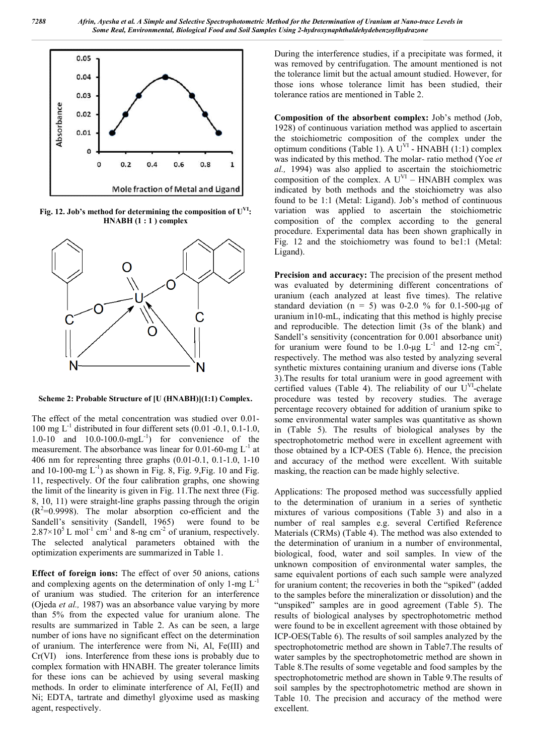

Fig. 12. Job's method for determining the composition of  $U<sup>VI</sup>$ : **HNABH (1 : 1 ) complex**



**Scheme 2: Probable Structure of [U (HNABH)](1:1) Complex.**

The effect of the metal concentration was studied over 0.01- 100 mg  $L^{-1}$  distributed in four different sets (0.01 -0.1, 0.1-1.0, 1.0-10 and  $10.0$ -100.0-mgL<sup>-1</sup>) for convenience of the measurement. The absorbance was linear for  $0.01$ -60-mg  $L^{-1}$  at 406 nm for representing three graphs (0.01-0.1, 0.1-1.0, 1-10 and 10-100-mg  $L^{-1}$ ) as shown in Fig. 8, Fig. 9, Fig. 10 and Fig. 11, respectively. Of the four calibration graphs, one showing the limit of the linearity is given in Fig. 11.The next three (Fig. 8, 10, 11) were straight-line graphs passing through the origin  $(R<sup>2</sup>=0.9998)$ . The molar absorption co-efficient and the Sandell's sensitivity (Sandell, 1965) were found to be  $2.87 \times 10^5$  L mol<sup>-1</sup> cm<sup>-1</sup> and 8-ng cm<sup>-2</sup> of uranium, respectively. The selected analytical parameters obtained with the optimization experiments are summarized in Table 1.

**Effect of foreign ions:** The effect of over 50 anions, cations and complexing agents on the determination of only  $1$ -mg  $L^{-1}$ of uranium was studied. The criterion for an interference (Ojeda *et al.,* 1987) was an absorbance value varying by more than 5% from the expected value for uranium alone. The results are summarized in Table 2. As can be seen, a large number of ions have no significant effect on the determination of uranium. The interference were from Ni, Al, Fe(III) and Cr(VI) ions. Interference from these ions is probably due to complex formation with HNABH. The greater tolerance limits for these ions can be achieved by using several masking methods. In order to eliminate interference of Al, Fe(II) and Ni; EDTA, tartrate and dimethyl glyoxime used as masking agent, respectively.

During the interference studies, if a precipitate was formed, it was removed by centrifugation. The amount mentioned is not the tolerance limit but the actual amount studied. However, for those ions whose tolerance limit has been studied, their tolerance ratios are mentioned in Table 2.

**Composition of the absorbent complex:** Job's method (Job, 1928) of continuous variation method was applied to ascertain the stoichiometric composition of the complex under the optimum conditions (Table 1). A  $U^{VI}$  - HNABH (1:1) complex was indicated by this method. The molar- ratio method (Yoe *et al.,* 1994) was also applied to ascertain the stoichiometric composition of the complex. A  $U<sup>VI</sup>$  – HNABH complex was indicated by both methods and the stoichiometry was also found to be 1:1 (Metal: Ligand). Job's method of continuous variation was applied to ascertain the stoichiometric composition of the complex according to the general procedure. Experimental data has been shown graphically in Fig. 12 and the stoichiometry was found to be1:1 (Metal: Ligand).

**Precision and accuracy:** The precision of the present method was evaluated by determining different concentrations of uranium (each analyzed at least five times). The relative standard deviation (n = 5) was 0-2.0 % for 0.1-500-µg of uranium in10-mL, indicating that this method is highly precise and reproducible. The detection limit (3s of the blank) and Sandell's sensitivity (concentration for 0.001 absorbance unit) for uranium were found to be 1.0-μg  $L^{-1}$  and 12-ng cm<sup>-2</sup>, respectively. The method was also tested by analyzing several synthetic mixtures containing uranium and diverse ions (Table 3).The results for total uranium were in good agreement with certified values (Table 4). The reliability of our  $U<sup>VI</sup>$ -chelate procedure was tested by recovery studies. The average percentage recovery obtained for addition of uranium spike to some environmental water samples was quantitative as shown in (Table 5). The results of biological analyses by the spectrophotometric method were in excellent agreement with those obtained by a ICP-OES (Table 6). Hence, the precision and accuracy of the method were excellent. With suitable masking, the reaction can be made highly selective.

Applications: The proposed method was successfully applied to the determination of uranium in a series of synthetic mixtures of various compositions (Table 3) and also in a number of real samples e.g. several Certified Reference Materials (CRMs) (Table 4). The method was also extended to the determination of uranium in a number of environmental, biological, food, water and soil samples. In view of the unknown composition of environmental water samples, the same equivalent portions of each such sample were analyzed for uranium content; the recoveries in both the "spiked" (added to the samples before the mineralization or dissolution) and the "unspiked" samples are in good agreement (Table 5). The results of biological analyses by spectrophotometric method were found to be in excellent agreement with those obtained by ICP-OES(Table 6). The results of soil samples analyzed by the spectrophotometric method are shown in Table7.The results of water samples by the spectrophotometric method are shown in Table 8.The results of some vegetable and food samples by the spectrophotometric method are shown in Table 9.The results of soil samples by the spectrophotometric method are shown in Table 10. The precision and accuracy of the method were excellent.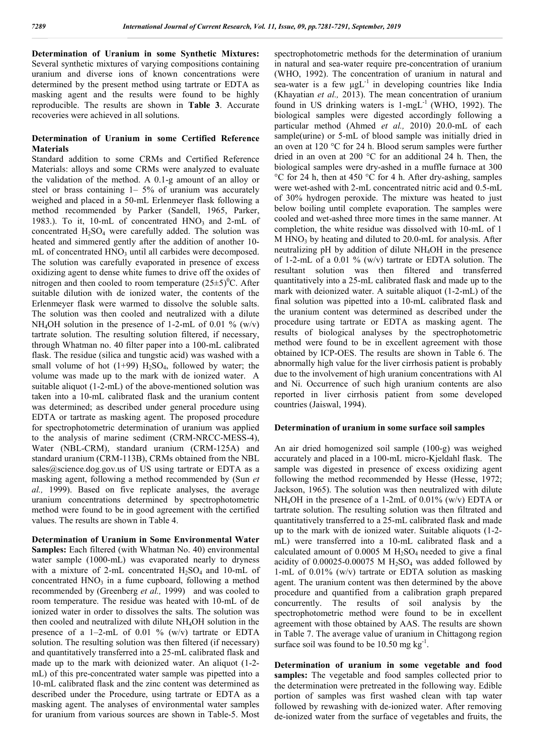**Determination of Uranium in some Synthetic Mixtures:**  Several synthetic mixtures of varying compositions containing uranium and diverse ions of known concentrations were determined by the present method using tartrate or EDTA as masking agent and the results were found to be highly reproducible. The results are shown in **Table 3**. Accurate recoveries were achieved in all solutions.

#### **Determination of Uranium in some Certified Reference Materials**

Standard addition to some CRMs and Certified Reference Materials: alloys and some CRMs were analyzed to evaluate the validation of the method. A 0.1-g amount of an alloy or steel or brass containing 1– 5% of uranium was accurately weighed and placed in a 50-mL Erlenmeyer flask following a method recommended by Parker (Sandell, 1965, Parker, 1983.). To it,  $10\text{-mL}$  of concentrated  $HNO<sub>3</sub>$  and  $2\text{-mL}$  of concentrated  $H_2SO_4$  were carefully added. The solution was heated and simmered gently after the addition of another 10 mL of concentrated  $HNO<sub>3</sub>$  until all carbides were decomposed. The solution was carefully evaporated in presence of excess oxidizing agent to dense white fumes to drive off the oxides of nitrogen and then cooled to room temperature  $(25\pm5)^{0}$ C. After suitable dilution with de ionized water, the contents of the Erlenmeyer flask were warmed to dissolve the soluble salts. The solution was then cooled and neutralized with a dilute NH<sub>4</sub>OH solution in the presence of 1-2-mL of 0.01 % (w/v) tartrate solution. The resulting solution filtered, if necessary, through Whatman no. 40 filter paper into a 100-mL calibrated flask. The residue (silica and tungstic acid) was washed with a small volume of hot  $(1+99)$  H<sub>2</sub>SO<sub>4</sub>, followed by water; the volume was made up to the mark with de ionized water. A suitable aliquot (1-2-mL) of the above-mentioned solution was taken into a 10-mL calibrated flask and the uranium content was determined; as described under general procedure using EDTA or tartrate as masking agent. The proposed procedure for spectrophotometric determination of uranium was applied to the analysis of marine sediment (CRM-NRCC-MESS-4), Water (NBL-CRM), standard uranium (CRM-125A) and standard uranium (CRM-113B), CRMs obtained from the NBL sales@science.dog.gov.us of US using tartrate or EDTA as a masking agent, following a method recommended by (Sun *et al.,* 1999). Based on five replicate analyses, the average uranium concentrations determined by spectrophotometric method were found to be in good agreement with the certified values. The results are shown in Table 4.

**Determination of Uranium in Some Environmental Water Samples:** Each filtered (with Whatman No. 40) environmental water sample (1000-mL) was evaporated nearly to dryness with a mixture of 2-mL concentrated  $H_2SO_4$  and 10-mL of concentrated  $HNO<sub>3</sub>$  in a fume cupboard, following a method recommended by (Greenberg *et al.,* 1999) and was cooled to room temperature. The residue was heated with 10-mL of de ionized water in order to dissolves the salts. The solution was then cooled and neutralized with dilute NH4OH solution in the presence of a 1–2-mL of 0.01 % (w/v) tartrate or EDTA solution. The resulting solution was then filtered (if necessary) and quantitatively transferred into a 25-mL calibrated flask and made up to the mark with deionized water. An aliquot (1-2 mL) of this pre-concentrated water sample was pipetted into a 10-mL calibrated flask and the zinc content was determined as described under the Procedure, using tartrate or EDTA as a masking agent. The analyses of environmental water samples for uranium from various sources are shown in Table-5. Most

spectrophotometric methods for the determination of uranium in natural and sea-water require pre-concentration of uranium (WHO, 1992). The concentration of uranium in natural and sea-water is a few  $\mu g L^{-1}$  in developing countries like India (Khayatian *et al.,* 2013). The mean concentration of uranium found in US drinking waters is  $1-mgL^{-1}$  (WHO, 1992). The biological samples were digested accordingly following a particular method (Ahmed *et al.,* 2010) 20.0-mL of each sample(urine) or 5-mL of blood sample was initially dried in an oven at 120 °C for 24 h. Blood serum samples were further dried in an oven at 200 °C for an additional 24 h. Then, the biological samples were dry-ashed in a muffle furnace at 300 °C for 24 h, then at 450 °C for 4 h. After dry-ashing, samples were wet-ashed with 2-mL concentrated nitric acid and 0.5-mL of 30% hydrogen peroxide. The mixture was heated to just below boiling until complete evaporation. The samples were cooled and wet-ashed three more times in the same manner. At completion, the white residue was dissolved with 10-mL of 1  $M HNO<sub>3</sub>$  by heating and diluted to 20.0-mL for analysis. After neutralizing pH by addition of dilute  $NH<sub>4</sub>OH$  in the presence of 1-2-mL of a 0.01 % (w/v) tartrate or EDTA solution. The resultant solution was then filtered and transferred quantitatively into a 25-mL calibrated flask and made up to the mark with deionized water. A suitable aliquot (1-2-mL) of the final solution was pipetted into a 10-mL calibrated flask and the uranium content was determined as described under the procedure using tartrate or EDTA as masking agent. The results of biological analyses by the spectrophotometric method were found to be in excellent agreement with those obtained by ICP-OES. The results are shown in Table 6. The abnormally high value for the liver cirrhosis patient is probably due to the involvement of high uranium concentrations with Al and Ni. Occurrence of such high uranium contents are also reported in liver cirrhosis patient from some developed countries (Jaiswal, 1994).

#### **Determination of uranium in some surface soil samples**

An air dried homogenized soil sample (100-g) was weighed accurately and placed in a 100-mL micro-Kjeldahl flask. The sample was digested in presence of excess oxidizing agent following the method recommended by Hesse (Hesse, 1972; Jackson, 1965). The solution was then neutralized with dilute NH4OH in the presence of a 1-2mL of 0.01% (w/v) EDTA or tartrate solution. The resulting solution was then filtrated and quantitatively transferred to a 25-mL calibrated flask and made up to the mark with de ionized water. Suitable aliquots (1-2 mL) were transferred into a 10-mL calibrated flask and a calculated amount of  $0.0005$  M  $H_2SO_4$  needed to give a final acidity of  $0.00025 - 0.00075$  M H<sub>2</sub>SO<sub>4</sub> was added followed by 1-mL of 0.01% (w/v) tartrate or EDTA solution as masking agent. The uranium content was then determined by the above procedure and quantified from a calibration graph prepared concurrently. The results of soil analysis by the spectrophotometric method were found to be in excellent agreement with those obtained by AAS. The results are shown in Table 7. The average value of uranium in Chittagong region surface soil was found to be  $10.50$  mg kg<sup>-1</sup>.

**Determination of uranium in some vegetable and food samples:** The vegetable and food samples collected prior to the determination were pretreated in the following way. Edible portion of samples was first washed clean with tap water followed by rewashing with de-ionized water. After removing de-ionized water from the surface of vegetables and fruits, the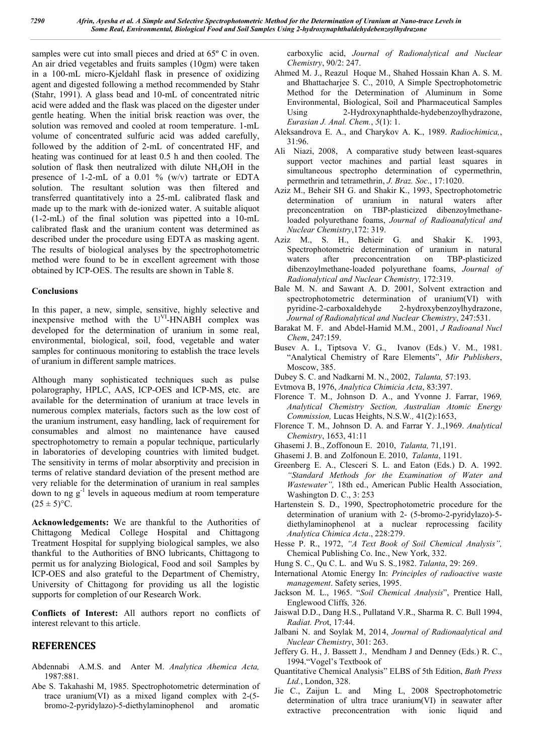samples were cut into small pieces and dried at 65º C in oven. An air dried vegetables and fruits samples (10gm) were taken in a 100-mL micro-Kjeldahl flask in presence of oxidizing agent and digested following a method recommended by Stahr (Stahr, 1991). A glass bead and 10-mL of concentrated nitric acid were added and the flask was placed on the digester under gentle heating. When the initial brisk reaction was over, the solution was removed and cooled at room temperature. 1-mL volume of concentrated sulfuric acid was added carefully, followed by the addition of 2-mL of concentrated HF, and heating was continued for at least 0.5 h and then cooled. The solution of flask then neutralized with dilute NH4OH in the presence of 1-2-mL of a 0.01 %  $(w/v)$  tartrate or EDTA solution. The resultant solution was then filtered and transferred quantitatively into a 25-mL calibrated flask and made up to the mark with de-ionized water. A suitable aliquot (1-2-mL) of the final solution was pipetted into a 10-mL calibrated flask and the uranium content was determined as described under the procedure using EDTA as masking agent. The results of biological analyses by the spectrophotometric method were found to be in excellent agreement with those obtained by ICP-OES. The results are shown in Table 8.

### **Conclusions**

In this paper, a new, simple, sensitive, highly selective and inexpensive method with the U<sup>VI</sup>-HNABH complex was developed for the determination of uranium in some real. environmental, biological, soil, food, vegetable and water samples for continuous monitoring to establish the trace levels of uranium in different sample matrices.

Although many sophisticated techniques such as pulse polarography, HPLC, AAS, ICP-OES and ICP-MS, etc. are available for the determination of uranium at trace levels in numerous complex materials, factors such as the low cost of the uranium instrument, easy handling, lack of requirement for consumables and almost no maintenance have caused spectrophotometry to remain a popular technique, particularly in laboratories of developing countries with limited budget. The sensitivity in terms of molar absorptivity and precision in terms of relative standard deviation of the present method are very reliable for the determination of uranium in real samples down to ng  $g^{-1}$  levels in aqueous medium at room temperature  $(25 \pm 5)$ °C.

**Acknowledgements:** We are thankful to the Authorities of Chittagong Medical College Hospital and Chittagong Treatment Hospital for supplying biological samples, we also thankful to the Authorities of BNO lubricants, Chittagong to permit us for analyzing Biological, Food and soil Samples by ICP-OES and also grateful to the Department of Chemistry, University of Chittagong for providing us all the logistic supports for completion of our Research Work.

**Conflicts of Interest:** All authors report no conflicts of interest relevant to this article.

# **REFERENCES**

- Abdennabi A.M.S. and Anter M. *Analytica Ahemica Acta,*  1987:881.
- Abe S. Takahashi M, 1985. Spectrophotometric determination of trace uranium(VI) as a mixed ligand complex with 2-(5 bromo-2-pyridylazo)-5-diethylaminophenol and aromatic

carboxylic acid, *Journal of Radionalytical and Nuclear Chemistry*, 90/2: 247.

- Ahmed M. J., Reazul Hoque M., Shahed Hossain Khan A. S. M. and Bhattacharjee S. C., 2010, A Simple Spectrophotometric Method for the Determination of Aluminum in Some Environmental, Biological, Soil and Pharmaceutical Samples Using 2-Hydroxynaphthalde-hydebenzoylhydrazone, *Eurasian J. Anal. Chem.*, *5*(1): 1.
- Aleksandrova E. A., and Charykov A. K., 1989. *Radiochimica,*, 31:96.
- Ali Niazi, 2008, A comparative study between least-squares support vector machines and partial least squares in simultaneous spectropho determination of cypermethrin, permethrin and tetramethrin, *J. Braz. Soc*., 17:1020.
- Aziz M., Beheir SH G. and Shakir K., 1993, Spectrophotometric determination of uranium in natural waters after preconcentration on TBP-plasticized dibenzoylmethaneloaded polyurethane foams, *Journal of Radioanalytical and Nuclear Chemistry*,172: 319.
- Aziz M., S. H., Behieir G. and Shakir K. 1993, Spectrophotometric determination of uranium in natural waters after preconcentration on TBP-plasticized dibenzoylmethane-loaded polyurethane foams, *Journal of Radionalytical and Nuclear Chemistry,* 172:319.
- Bale M. N. and Sawant A. D. 2001, Solvent extraction and spectrophotometric determination of uranium(VI) with pyridine-2-carboxaldehyde 2-hydroxybenzoylhydrazone, *Journal of Radionalytical and Nuclear Chemistry*, 247:531.
- Barakat M. F. and Abdel-Hamid M.M., 2001, *J Radioanal Nucl Chem*, 247:159.
- Busev A. I., Tiptsova V. G., Ivanov (Eds.) V. M., 1981. "Analytical Chemistry of Rare Elements", *Mir Publishers*, Moscow, 385.
- Dubey S. C. and Nadkarni M. N., 2002, *Talanta,* 57:193.
- Evtmova B, 1976, *Analytica Chimicia Acta*, 83:397.
- Florence T. M., Johnson D. A., and Yvonne J. Farrar, 1969*, Analytical Chemistry Section, Australian Atomic Energy Commission,* Lucas Heights, N.S.W*.,* 41(2):1653,
- Florence T. M., Johnson D. A. and Farrar Y. J.,1969. *Analytical Chemistry*, 1653, 41:11
- Ghasemi J. B., Zoffonoun E. 2010, *Talanta,* 71,191.
- Ghasemi J. B. and Zolfonoun E. 2010, *Talanta*, 1191.
- Greenberg E. A., Clesceri S. L. and Eaton (Eds.) D. A. 1992. *"Standard Methods for the Examination of Water and Wastewater",* 18th ed., American Public Health Association, Washington D. C., 3: 253
- Hartenstein S. D., 1990, Spectrophotometric procedure for the determination of uranium with 2- (5-bromo-2-pyridylazo)-5 diethylaminophenol at a nuclear reprocessing facility *Analytica Chimica Acta*., 228:279.
- Hesse P. R., 1972, *"A Text Book of Soil Chemical Analysis",*  Chemical Publishing Co. Inc., New York, 332.
- Hung S. C., Qu C. L. and Wu S. S.*,*1982. *Talanta*, 29: 269.
- International Atomic Energy In: *Principles of radioactive waste management*. Safety series, 1995.
- Jackson M. L., 1965. "*Soil Chemical Analysis*", Prentice Hall, Englewood Cliffs*,* 326.
- Jaiswal D.D., Dang H.S., Pullatand V.R., Sharma R. C. Bull 1994, *Radiat. Pro*t, 17:44.
- Jalbani N. and Soylak M, 2014, *Journal of Radionaalytical and Nuclear Chemistry*, 301: 263.
- Jeffery G. H., J. Bassett J., Mendham J and Denney (Eds.) R. C., 1994."Vogel's Textbook of
- Quantitative Chemical Analysis" ELBS of 5th Edition, *Bath Press Ltd.*, London, 328.
- Jie C., Zaijun L. and Ming L, 2008 Spectrophotometric determination of ultra trace uranium(VI) in seawater after extractive preconcentration with ionic liquid and